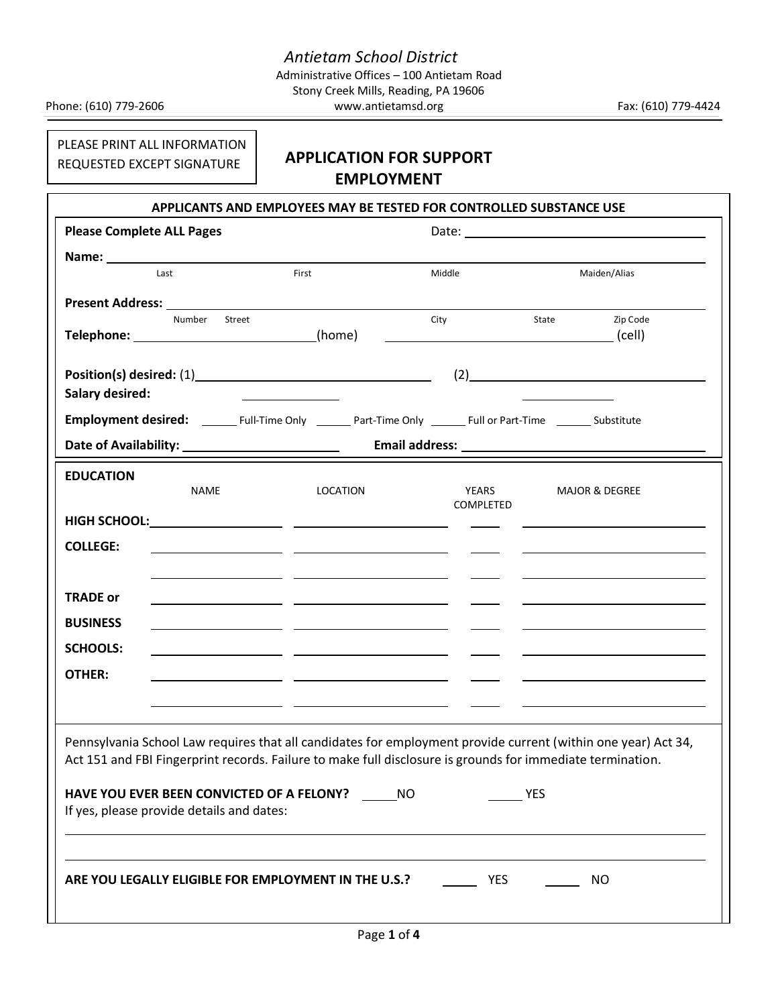Stony Creek Mills, Reading, PA 19606 Phone: (610) 779-2606 www.antietamsd.org Fax: (610) 779-4424

PLEASE PRINT ALL INFORMATION REQUESTED EXCEPT SIGNATURE

# **APPLICATION FOR SUPPORT EMPLOYMENT**

| <b>Please Complete ALL Pages</b> |                                                                      |                                                                                                                      |                                                                                                                                                                                                                             |            |                                                                                                                        |
|----------------------------------|----------------------------------------------------------------------|----------------------------------------------------------------------------------------------------------------------|-----------------------------------------------------------------------------------------------------------------------------------------------------------------------------------------------------------------------------|------------|------------------------------------------------------------------------------------------------------------------------|
|                                  | Last                                                                 | First                                                                                                                | Middle                                                                                                                                                                                                                      |            | Maiden/Alias                                                                                                           |
|                                  |                                                                      |                                                                                                                      |                                                                                                                                                                                                                             |            |                                                                                                                        |
|                                  | Number<br>Street<br>Telephone: _______________________________(home) |                                                                                                                      | City                                                                                                                                                                                                                        | State      | Zip Code                                                                                                               |
| <b>Salary desired:</b>           |                                                                      |                                                                                                                      |                                                                                                                                                                                                                             |            | (2)                                                                                                                    |
|                                  |                                                                      |                                                                                                                      | Employment desired: _________ Full-Time Only _________ Part-Time Only ________ Full or Part-Time ________ Substitute                                                                                                        |            |                                                                                                                        |
| <b>EDUCATION</b>                 | <b>NAME</b>                                                          | LOCATION                                                                                                             | YEARS<br>COMPLETED                                                                                                                                                                                                          |            | <b>MAJOR &amp; DEGREE</b>                                                                                              |
|                                  |                                                                      |                                                                                                                      |                                                                                                                                                                                                                             |            |                                                                                                                        |
| <b>COLLEGE:</b>                  |                                                                      |                                                                                                                      |                                                                                                                                                                                                                             |            |                                                                                                                        |
| <b>TRADE or</b>                  |                                                                      |                                                                                                                      |                                                                                                                                                                                                                             |            | <u> Alexandria de la contrada de la contrada de la contrada de la contrada de la contrada de la contrada de la c</u>   |
| <b>BUSINESS</b>                  |                                                                      | <u> 1989 - Jan Barbara Barat, martin da shekara ta 1989 - An tsa masa na shekara tsa na shekara tsa na shekara t</u> |                                                                                                                                                                                                                             |            |                                                                                                                        |
| <b>SCHOOLS:</b>                  |                                                                      |                                                                                                                      | $\sim$ $\sim$                                                                                                                                                                                                               |            | <u> 2008 - Andrea State Barbara, amerikan personal personal personal personal personal personal personal personal </u> |
| <b>OTHER:</b>                    |                                                                      |                                                                                                                      |                                                                                                                                                                                                                             |            |                                                                                                                        |
|                                  | If yes, please provide details and dates:                            | HAVE YOU EVER BEEN CONVICTED OF A FELONY? ______ NO                                                                  | Pennsylvania School Law requires that all candidates for employment provide current (within one year) Act 34,<br>Act 151 and FBI Fingerprint records. Failure to make full disclosure is grounds for immediate termination. | <b>YES</b> |                                                                                                                        |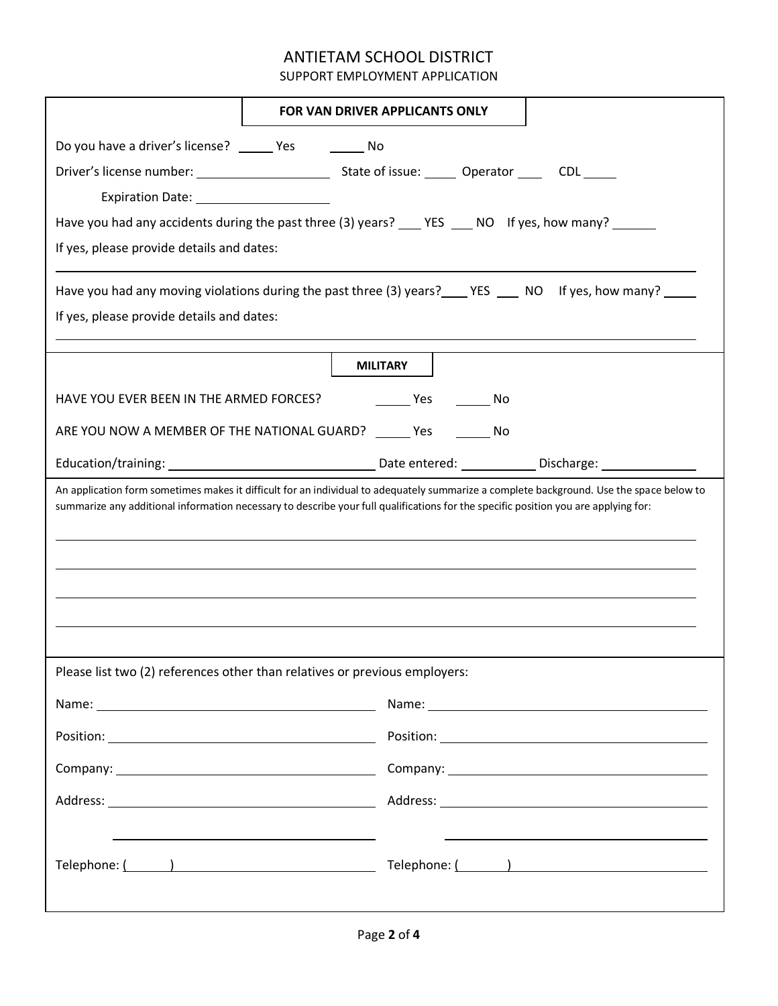## ANTIETAM SCHOOL DISTRICT

SUPPORT EMPLOYMENT APPLICATION

|                                                                                                                | <b>FOR VAN DRIVER APPLICANTS ONLY</b>                                                                                                                                                                                                                                           |  |  |  |  |  |  |
|----------------------------------------------------------------------------------------------------------------|---------------------------------------------------------------------------------------------------------------------------------------------------------------------------------------------------------------------------------------------------------------------------------|--|--|--|--|--|--|
| Do you have a driver's license? ________ Yes _____________ No                                                  |                                                                                                                                                                                                                                                                                 |  |  |  |  |  |  |
|                                                                                                                |                                                                                                                                                                                                                                                                                 |  |  |  |  |  |  |
|                                                                                                                |                                                                                                                                                                                                                                                                                 |  |  |  |  |  |  |
|                                                                                                                |                                                                                                                                                                                                                                                                                 |  |  |  |  |  |  |
| If yes, please provide details and dates:                                                                      |                                                                                                                                                                                                                                                                                 |  |  |  |  |  |  |
| Have you had any moving violations during the past three (3) years? _____ YES _____ NO If yes, how many? _____ |                                                                                                                                                                                                                                                                                 |  |  |  |  |  |  |
| If yes, please provide details and dates:                                                                      |                                                                                                                                                                                                                                                                                 |  |  |  |  |  |  |
|                                                                                                                |                                                                                                                                                                                                                                                                                 |  |  |  |  |  |  |
|                                                                                                                | <b>MILITARY</b>                                                                                                                                                                                                                                                                 |  |  |  |  |  |  |
| HAVE YOU EVER BEEN IN THE ARMED FORCES?                                                                        | _____ Yes _________ No                                                                                                                                                                                                                                                          |  |  |  |  |  |  |
|                                                                                                                | ARE YOU NOW A MEMBER OF THE NATIONAL GUARD? _____ Yes _______ No                                                                                                                                                                                                                |  |  |  |  |  |  |
|                                                                                                                |                                                                                                                                                                                                                                                                                 |  |  |  |  |  |  |
|                                                                                                                | An application form sometimes makes it difficult for an individual to adequately summarize a complete background. Use the space below to<br>summarize any additional information necessary to describe your full qualifications for the specific position you are applying for: |  |  |  |  |  |  |
|                                                                                                                |                                                                                                                                                                                                                                                                                 |  |  |  |  |  |  |
|                                                                                                                | Please list two (2) references other than relatives or previous employers:                                                                                                                                                                                                      |  |  |  |  |  |  |
|                                                                                                                |                                                                                                                                                                                                                                                                                 |  |  |  |  |  |  |
|                                                                                                                |                                                                                                                                                                                                                                                                                 |  |  |  |  |  |  |
|                                                                                                                |                                                                                                                                                                                                                                                                                 |  |  |  |  |  |  |
|                                                                                                                |                                                                                                                                                                                                                                                                                 |  |  |  |  |  |  |
|                                                                                                                | Telephone: $\frac{1}{1}$ $\frac{1}{1}$ $\frac{1}{1}$ $\frac{1}{1}$ $\frac{1}{1}$ $\frac{1}{1}$ $\frac{1}{1}$ $\frac{1}{1}$ $\frac{1}{1}$ $\frac{1}{1}$ $\frac{1}{1}$ $\frac{1}{1}$ $\frac{1}{1}$ $\frac{1}{1}$ $\frac{1}{1}$ $\frac{1}{1}$ $\frac{1}{1}$ $\frac{1}{$            |  |  |  |  |  |  |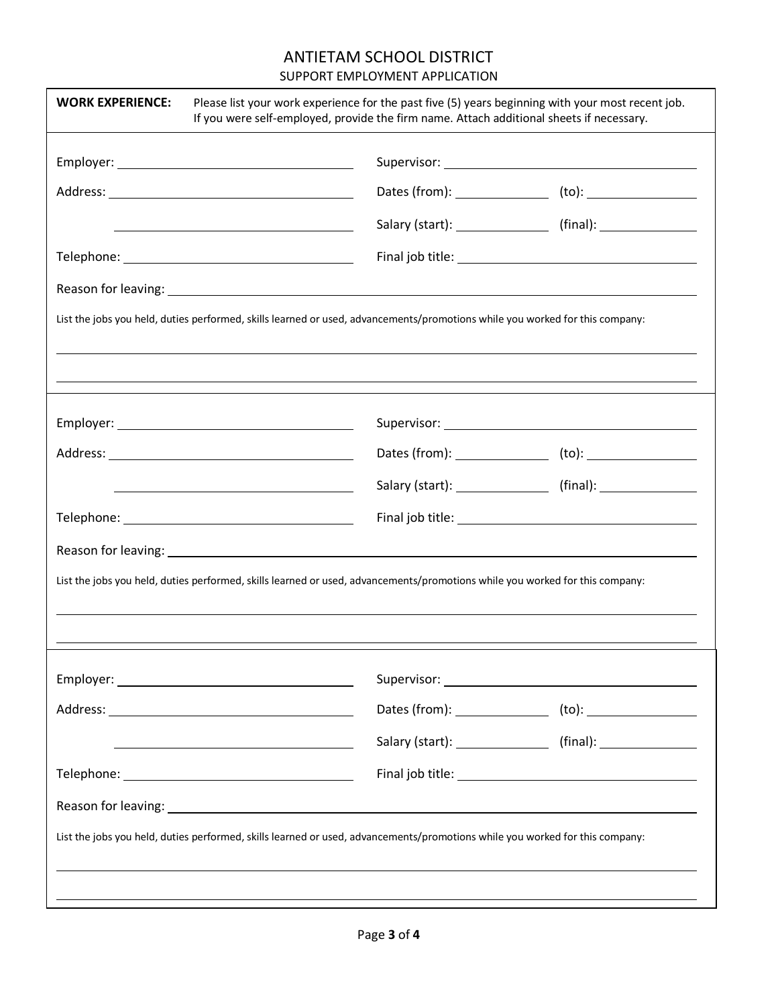## ANTIETAM SCHOOL DISTRICT

#### SUPPORT EMPLOYMENT APPLICATION

|                                                                                                                      | List the jobs you held, duties performed, skills learned or used, advancements/promotions while you worked for this company: |                                                                                  |
|----------------------------------------------------------------------------------------------------------------------|------------------------------------------------------------------------------------------------------------------------------|----------------------------------------------------------------------------------|
|                                                                                                                      |                                                                                                                              |                                                                                  |
|                                                                                                                      |                                                                                                                              |                                                                                  |
|                                                                                                                      |                                                                                                                              |                                                                                  |
|                                                                                                                      |                                                                                                                              |                                                                                  |
|                                                                                                                      |                                                                                                                              | Salary (start): ________________________ (final): ______________________________ |
|                                                                                                                      |                                                                                                                              |                                                                                  |
|                                                                                                                      |                                                                                                                              |                                                                                  |
|                                                                                                                      | List the jobs you held, duties performed, skills learned or used, advancements/promotions while you worked for this company: |                                                                                  |
|                                                                                                                      |                                                                                                                              |                                                                                  |
|                                                                                                                      |                                                                                                                              |                                                                                  |
|                                                                                                                      |                                                                                                                              |                                                                                  |
|                                                                                                                      |                                                                                                                              |                                                                                  |
|                                                                                                                      |                                                                                                                              |                                                                                  |
| <u> Alexandria de la contrada de la contrada de la contrada de la contrada de la contrada de la contrada de la c</u> | Salary (start): ____________________ (final): __________________________________                                             |                                                                                  |
|                                                                                                                      |                                                                                                                              |                                                                                  |
|                                                                                                                      |                                                                                                                              |                                                                                  |